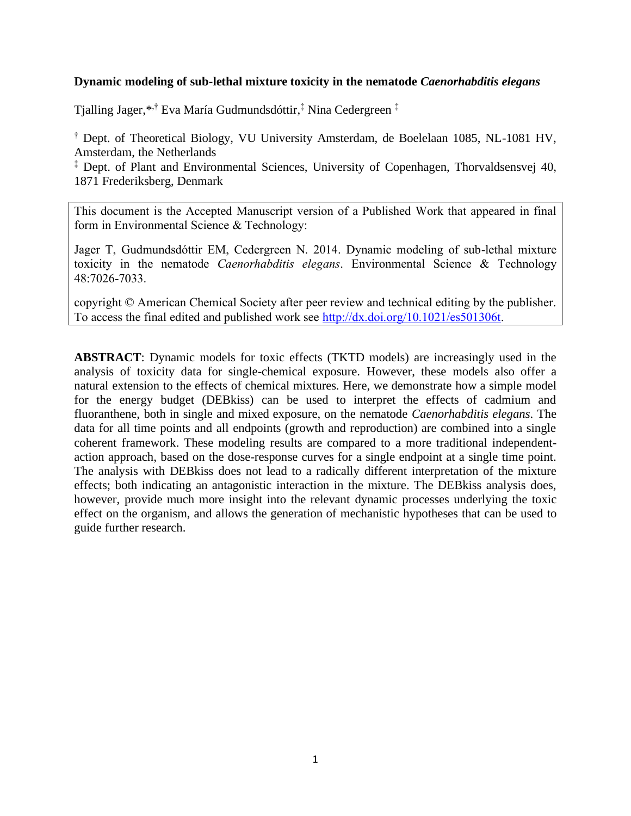# **Dynamic modeling of sub-lethal mixture toxicity in the nematode** *Caenorhabditis elegans*

Tjalling Jager,\* ,† Eva María Gudmundsdóttir,‡ Nina Cedergreen ‡

† Dept. of Theoretical Biology, VU University Amsterdam, de Boelelaan 1085, NL-1081 HV, Amsterdam, the Netherlands

‡ Dept. of Plant and Environmental Sciences, University of Copenhagen, Thorvaldsensvej 40, 1871 Frederiksberg, Denmark

This document is the Accepted Manuscript version of a Published Work that appeared in final form in Environmental Science & Technology:

Jager T, Gudmundsdóttir EM, Cedergreen N. 2014. Dynamic modeling of sub-lethal mixture toxicity in the nematode *Caenorhabditis elegans*. Environmental Science & Technology 48:7026-7033.

copyright © American Chemical Society after peer review and technical editing by the publisher. To access the final edited and published work see [http://dx.doi.org/10.1021/es501306t.](http://dx.doi.org/10.1021/es501306t)

**ABSTRACT**: Dynamic models for toxic effects (TKTD models) are increasingly used in the analysis of toxicity data for single-chemical exposure. However, these models also offer a natural extension to the effects of chemical mixtures. Here, we demonstrate how a simple model for the energy budget (DEBkiss) can be used to interpret the effects of cadmium and fluoranthene, both in single and mixed exposure, on the nematode *Caenorhabditis elegans*. The data for all time points and all endpoints (growth and reproduction) are combined into a single coherent framework. These modeling results are compared to a more traditional independentaction approach, based on the dose-response curves for a single endpoint at a single time point. The analysis with DEBkiss does not lead to a radically different interpretation of the mixture effects; both indicating an antagonistic interaction in the mixture. The DEBkiss analysis does, however, provide much more insight into the relevant dynamic processes underlying the toxic effect on the organism, and allows the generation of mechanistic hypotheses that can be used to guide further research.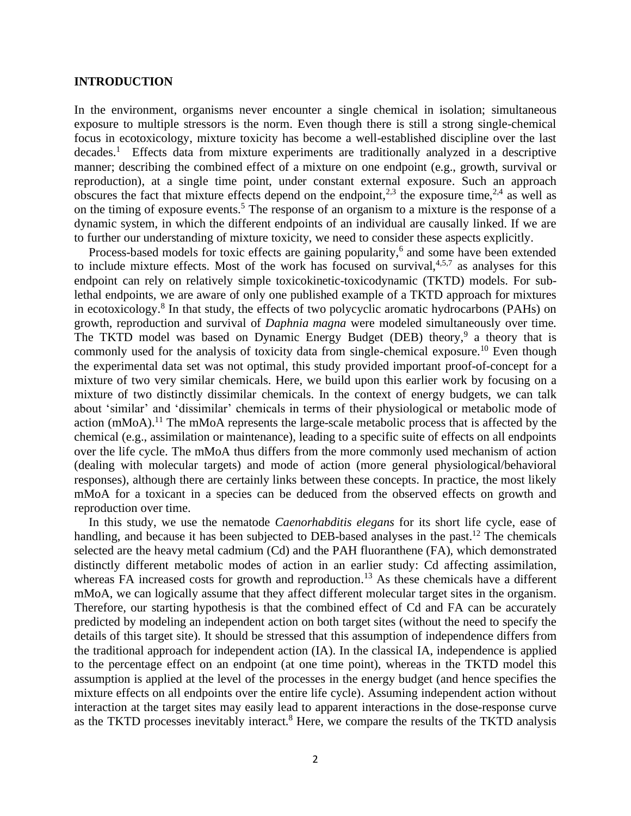#### **INTRODUCTION**

In the environment, organisms never encounter a single chemical in isolation; simultaneous exposure to multiple stressors is the norm. Even though there is still a strong single-chemical focus in ecotoxicology, mixture toxicity has become a well-established discipline over the last decades.<sup>[1](#page-12-0)</sup> Effects data from mixture experiments are traditionally analyzed in a descriptive manner; describing the combined effect of a mixture on one endpoint (e.g., growth, survival or reproduction), at a single time point, under constant external exposure. Such an approach obscures the fact that mixture effects depend on the endpoint,<sup>[2,](#page-12-1)[3](#page-12-2)</sup> the exposure time,<sup>[2](#page-12-1)[,4](#page-12-3)</sup> as well as on the timing of exposure events. [5](#page-12-4) The response of an organism to a mixture is the response of a dynamic system, in which the different endpoints of an individual are causally linked. If we are to further our understanding of mixture toxicity, we need to consider these aspects explicitly.

Process-based models for toxic effects are gaining popularity,<sup>[6](#page-12-5)</sup> and some have been extended to include mixture effects. Most of the work has focused on survival, $4,5,7$  $4,5,7$  $4,5,7$  as analyses for this endpoint can rely on relatively simple toxicokinetic-toxicodynamic (TKTD) models. For sublethal endpoints, we are aware of only one published example of a TKTD approach for mixtures in ecotoxicology.<sup>[8](#page-13-1)</sup> In that study, the effects of two polycyclic aromatic hydrocarbons (PAHs) on growth, reproduction and survival of *Daphnia magna* were modeled simultaneously over time. The TKTD model was based on Dynamic Energy Budget (DEB) theory,<sup>[9](#page-13-2)</sup> a theory that is commonly used for the analysis of toxicity data from single-chemical exposure.<sup>[10](#page-13-3)</sup> Even though the experimental data set was not optimal, this study provided important proof-of-concept for a mixture of two very similar chemicals. Here, we build upon this earlier work by focusing on a mixture of two distinctly dissimilar chemicals. In the context of energy budgets, we can talk about 'similar' and 'dissimilar' chemicals in terms of their physiological or metabolic mode of action  $(mMoA)<sup>11</sup>$  $(mMoA)<sup>11</sup>$  $(mMoA)<sup>11</sup>$ . The mMoA represents the large-scale metabolic process that is affected by the chemical (e.g., assimilation or maintenance), leading to a specific suite of effects on all endpoints over the life cycle. The mMoA thus differs from the more commonly used mechanism of action (dealing with molecular targets) and mode of action (more general physiological/behavioral responses), although there are certainly links between these concepts. In practice, the most likely mMoA for a toxicant in a species can be deduced from the observed effects on growth and reproduction over time.

In this study, we use the nematode *Caenorhabditis elegans* for its short life cycle, ease of handling, and because it has been subjected to DEB-based analyses in the past.<sup>[12](#page-13-5)</sup> The chemicals selected are the heavy metal cadmium (Cd) and the PAH fluoranthene (FA), which demonstrated distinctly different metabolic modes of action in an earlier study: Cd affecting assimilation, whereas FA increased costs for growth and reproduction.<sup>[13](#page-13-6)</sup> As these chemicals have a different mMoA, we can logically assume that they affect different molecular target sites in the organism. Therefore, our starting hypothesis is that the combined effect of Cd and FA can be accurately predicted by modeling an independent action on both target sites (without the need to specify the details of this target site). It should be stressed that this assumption of independence differs from the traditional approach for independent action (IA). In the classical IA, independence is applied to the percentage effect on an endpoint (at one time point), whereas in the TKTD model this assumption is applied at the level of the processes in the energy budget (and hence specifies the mixture effects on all endpoints over the entire life cycle). Assuming independent action without interaction at the target sites may easily lead to apparent interactions in the dose-response curve as the TKTD processes inevitably interact.<sup>[8](#page-13-1)</sup> Here, we compare the results of the TKTD analysis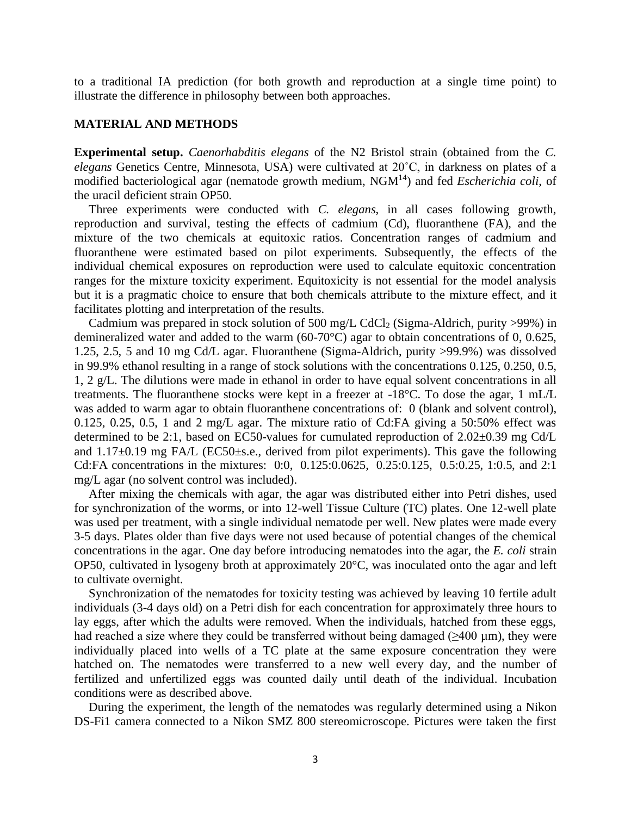to a traditional IA prediction (for both growth and reproduction at a single time point) to illustrate the difference in philosophy between both approaches.

#### **MATERIAL AND METHODS**

**Experimental setup.** *Caenorhabditis elegans* of the N2 Bristol strain (obtained from the *C. elegans* Genetics Centre, Minnesota, USA) were cultivated at 20˚C, in darkness on plates of a modified bacteriological agar (nematode growth medium, NGM[14](#page-13-7)) and fed *Escherichia coli*, of the uracil deficient strain OP50.

Three experiments were conducted with *C. elegans*, in all cases following growth, reproduction and survival, testing the effects of cadmium (Cd), fluoranthene (FA), and the mixture of the two chemicals at equitoxic ratios. Concentration ranges of cadmium and fluoranthene were estimated based on pilot experiments. Subsequently, the effects of the individual chemical exposures on reproduction were used to calculate equitoxic concentration ranges for the mixture toxicity experiment. Equitoxicity is not essential for the model analysis but it is a pragmatic choice to ensure that both chemicals attribute to the mixture effect, and it facilitates plotting and interpretation of the results.

Cadmium was prepared in stock solution of 500 mg/L CdCl<sub>2</sub> (Sigma-Aldrich, purity >99%) in demineralized water and added to the warm (60-70°C) agar to obtain concentrations of 0, 0.625, 1.25, 2.5, 5 and 10 mg Cd/L agar. Fluoranthene (Sigma-Aldrich, purity >99.9%) was dissolved in 99.9% ethanol resulting in a range of stock solutions with the concentrations 0.125, 0.250, 0.5, 1, 2 g/L. The dilutions were made in ethanol in order to have equal solvent concentrations in all treatments. The fluoranthene stocks were kept in a freezer at -18°C. To dose the agar, 1 mL/L was added to warm agar to obtain fluoranthene concentrations of: 0 (blank and solvent control), 0.125, 0.25, 0.5, 1 and 2 mg/L agar. The mixture ratio of Cd:FA giving a 50:50% effect was determined to be 2:1, based on EC50-values for cumulated reproduction of 2.02±0.39 mg Cd/L and 1.17±0.19 mg FA/L (EC50±s.e., derived from pilot experiments). This gave the following Cd:FA concentrations in the mixtures: 0:0, 0.125:0.0625, 0.25:0.125, 0.5:0.25, 1:0.5, and 2:1 mg/L agar (no solvent control was included).

After mixing the chemicals with agar, the agar was distributed either into Petri dishes, used for synchronization of the worms, or into 12-well Tissue Culture (TC) plates. One 12-well plate was used per treatment, with a single individual nematode per well. New plates were made every 3-5 days. Plates older than five days were not used because of potential changes of the chemical concentrations in the agar. One day before introducing nematodes into the agar, the *E. coli* strain OP50, cultivated in lysogeny broth at approximately 20°C, was inoculated onto the agar and left to cultivate overnight.

Synchronization of the nematodes for toxicity testing was achieved by leaving 10 fertile adult individuals (3-4 days old) on a Petri dish for each concentration for approximately three hours to lay eggs, after which the adults were removed. When the individuals, hatched from these eggs, had reached a size where they could be transferred without being damaged (>400 μm), they were individually placed into wells of a TC plate at the same exposure concentration they were hatched on. The nematodes were transferred to a new well every day, and the number of fertilized and unfertilized eggs was counted daily until death of the individual. Incubation conditions were as described above.

During the experiment, the length of the nematodes was regularly determined using a Nikon DS-Fi1 camera connected to a Nikon SMZ 800 stereomicroscope. Pictures were taken the first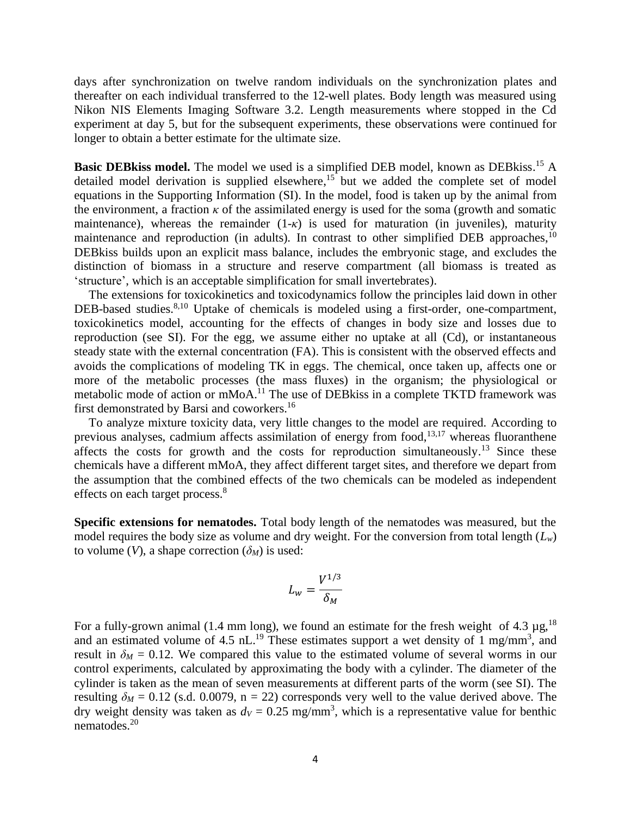days after synchronization on twelve random individuals on the synchronization plates and thereafter on each individual transferred to the 12-well plates. Body length was measured using Nikon NIS Elements Imaging Software 3.2. Length measurements where stopped in the Cd experiment at day 5, but for the subsequent experiments, these observations were continued for longer to obtain a better estimate for the ultimate size.

Basic DEBkiss model. The model we used is a simplified DEB model, known as DEBkiss.<sup>[15](#page-13-8)</sup> A detailed model derivation is supplied elsewhere,<sup>[15](#page-13-8)</sup> but we added the complete set of model equations in the Supporting Information (SI). In the model, food is taken up by the animal from the environment, a fraction  $\kappa$  of the assimilated energy is used for the soma (growth and somatic maintenance), whereas the remainder (1-*κ*) is used for maturation (in juveniles), maturity maintenance and reproduction (in adults). In contrast to other simplified DEB approaches, <sup>[10](#page-13-3)</sup> DEBkiss builds upon an explicit mass balance, includes the embryonic stage, and excludes the distinction of biomass in a structure and reserve compartment (all biomass is treated as 'structure', which is an acceptable simplification for small invertebrates).

The extensions for toxicokinetics and toxicodynamics follow the principles laid down in other DEB-based studies.<sup>[8,](#page-13-1)[10](#page-13-3)</sup> Uptake of chemicals is modeled using a first-order, one-compartment, toxicokinetics model, accounting for the effects of changes in body size and losses due to reproduction (see SI). For the egg, we assume either no uptake at all (Cd), or instantaneous steady state with the external concentration (FA). This is consistent with the observed effects and avoids the complications of modeling TK in eggs. The chemical, once taken up, affects one or more of the metabolic processes (the mass fluxes) in the organism; the physiological or metabolic mode of action or mMoA.<sup>[11](#page-13-4)</sup> The use of DEBkiss in a complete TKTD framework was first demonstrated by Barsi and coworkers.<sup>[16](#page-13-9)</sup>

To analyze mixture toxicity data, very little changes to the model are required. According to previous analyses, cadmium affects assimilation of energy from food,<sup>[13](#page-13-6)[,17](#page-13-10)</sup> whereas fluoranthene affects the costs for growth and the costs for reproduction simultaneously.<sup>[13](#page-13-6)</sup> Since these chemicals have a different mMoA, they affect different target sites, and therefore we depart from the assumption that the combined effects of the two chemicals can be modeled as independent effects on each target process.<sup>[8](#page-13-1)</sup>

**Specific extensions for nematodes.** Total body length of the nematodes was measured, but the model requires the body size as volume and dry weight. For the conversion from total length  $(L_w)$ to volume (*V*), a shape correction ( $\delta_M$ ) is used:

$$
L_w = \frac{V^{1/3}}{\delta_M}
$$

For a fully-grown animal (1.4 mm long), we found an estimate for the fresh weight of 4.3  $\mu$ g,<sup>[18](#page-13-11)</sup> and an estimated volume of 4.5  $nL$ <sup>[19](#page-13-12)</sup>. These estimates support a wet density of 1 mg/mm<sup>3</sup>, and result in  $\delta_M = 0.12$ . We compared this value to the estimated volume of several worms in our control experiments, calculated by approximating the body with a cylinder. The diameter of the cylinder is taken as the mean of seven measurements at different parts of the worm (see SI). The resulting  $\delta M = 0.12$  (s.d. 0.0079, n = 22) corresponds very well to the value derived above. The dry weight density was taken as  $d_V = 0.25$  mg/mm<sup>3</sup>, which is a representative value for benthic nematodes. [20](#page-13-13)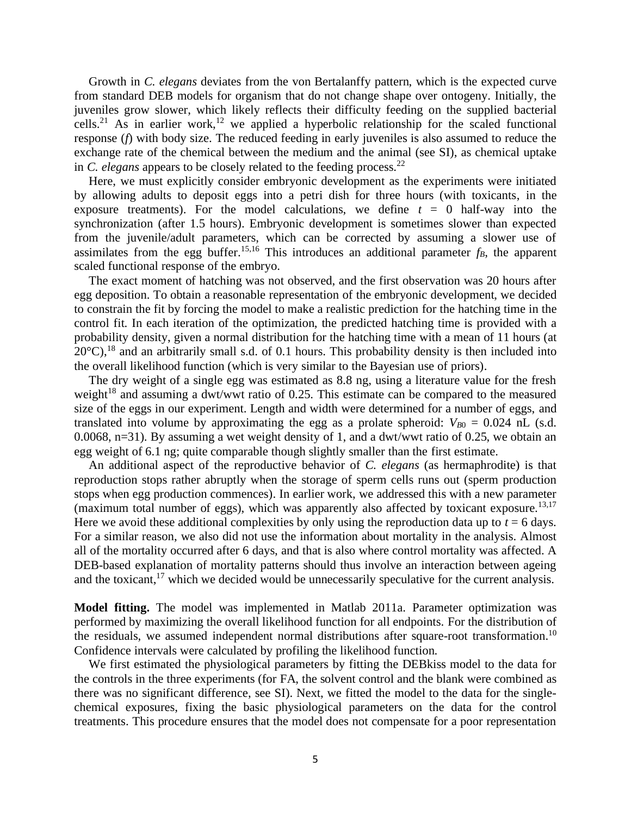Growth in *C. elegans* deviates from the von Bertalanffy pattern, which is the expected curve from standard DEB models for organism that do not change shape over ontogeny. Initially, the juveniles grow slower, which likely reflects their difficulty feeding on the supplied bacterial cells.<sup>[21](#page-13-14)</sup> As in earlier work,<sup>[12](#page-13-5)</sup> we applied a hyperbolic relationship for the scaled functional response (*f*) with body size. The reduced feeding in early juveniles is also assumed to reduce the exchange rate of the chemical between the medium and the animal (see SI), as chemical uptake in *C. elegans* appears to be closely related to the feeding process. [22](#page-13-15)

Here, we must explicitly consider embryonic development as the experiments were initiated by allowing adults to deposit eggs into a petri dish for three hours (with toxicants, in the exposure treatments). For the model calculations, we define  $t = 0$  half-way into the synchronization (after 1.5 hours). Embryonic development is sometimes slower than expected from the juvenile/adult parameters, which can be corrected by assuming a slower use of assimilates from the egg buffer.<sup>[15,](#page-13-8)[16](#page-13-9)</sup> This introduces an additional parameter  $f_B$ , the apparent scaled functional response of the embryo.

The exact moment of hatching was not observed, and the first observation was 20 hours after egg deposition. To obtain a reasonable representation of the embryonic development, we decided to constrain the fit by forcing the model to make a realistic prediction for the hatching time in the control fit. In each iteration of the optimization, the predicted hatching time is provided with a probability density, given a normal distribution for the hatching time with a mean of 11 hours (at  $20^{\circ}$ C),<sup>[18](#page-13-11)</sup> and an arbitrarily small s.d. of 0.1 hours. This probability density is then included into the overall likelihood function (which is very similar to the Bayesian use of priors).

The dry weight of a single egg was estimated as 8.8 ng, using a literature value for the fresh weight<sup>[18](#page-13-11)</sup> and assuming a dwt/wwt ratio of 0.25. This estimate can be compared to the measured size of the eggs in our experiment. Length and width were determined for a number of eggs, and translated into volume by approximating the egg as a prolate spheroid:  $V_{B0} = 0.024$  nL (s.d. 0.0068, n=31). By assuming a wet weight density of 1, and a dwt/wwt ratio of 0.25, we obtain an egg weight of 6.1 ng; quite comparable though slightly smaller than the first estimate.

An additional aspect of the reproductive behavior of *C. elegans* (as hermaphrodite) is that reproduction stops rather abruptly when the storage of sperm cells runs out (sperm production stops when egg production commences). In earlier work, we addressed this with a new parameter (maximum total number of eggs), which was apparently also affected by toxicant exposure.<sup>[13](#page-13-6)[,17](#page-13-10)</sup> Here we avoid these additional complexities by only using the reproduction data up to  $t = 6$  days. For a similar reason, we also did not use the information about mortality in the analysis. Almost all of the mortality occurred after 6 days, and that is also where control mortality was affected. A DEB-based explanation of mortality patterns should thus involve an interaction between ageing and the toxicant,  $17$  which we decided would be unnecessarily speculative for the current analysis.

**Model fitting.** The model was implemented in Matlab 2011a. Parameter optimization was performed by maximizing the overall likelihood function for all endpoints. For the distribution of the residuals, we assumed independent normal distributions after square-root transformation.<sup>[10](#page-13-3)</sup> Confidence intervals were calculated by profiling the likelihood function.

We first estimated the physiological parameters by fitting the DEBkiss model to the data for the controls in the three experiments (for FA, the solvent control and the blank were combined as there was no significant difference, see SI). Next, we fitted the model to the data for the singlechemical exposures, fixing the basic physiological parameters on the data for the control treatments. This procedure ensures that the model does not compensate for a poor representation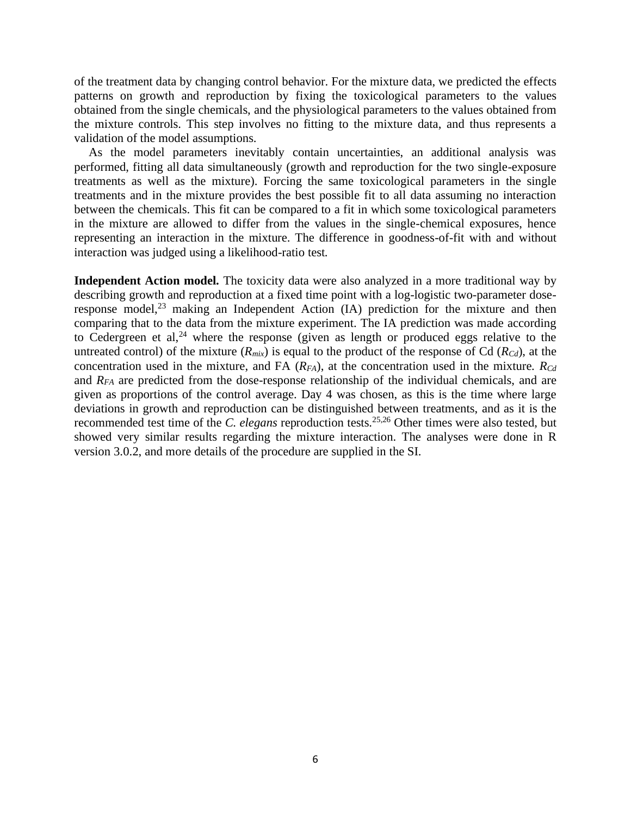of the treatment data by changing control behavior. For the mixture data, we predicted the effects patterns on growth and reproduction by fixing the toxicological parameters to the values obtained from the single chemicals, and the physiological parameters to the values obtained from the mixture controls. This step involves no fitting to the mixture data, and thus represents a validation of the model assumptions.

As the model parameters inevitably contain uncertainties, an additional analysis was performed, fitting all data simultaneously (growth and reproduction for the two single-exposure treatments as well as the mixture). Forcing the same toxicological parameters in the single treatments and in the mixture provides the best possible fit to all data assuming no interaction between the chemicals. This fit can be compared to a fit in which some toxicological parameters in the mixture are allowed to differ from the values in the single-chemical exposures, hence representing an interaction in the mixture. The difference in goodness-of-fit with and without interaction was judged using a likelihood-ratio test.

**Independent Action model.** The toxicity data were also analyzed in a more traditional way by describing growth and reproduction at a fixed time point with a log-logistic two-parameter doseresponse model, $^{23}$  $^{23}$  $^{23}$  making an Independent Action (IA) prediction for the mixture and then comparing that to the data from the mixture experiment. The IA prediction was made according to Cedergreen et al,<sup>[24](#page-13-17)</sup> where the response (given as length or produced eggs relative to the untreated control) of the mixture  $(R_{mix})$  is equal to the product of the response of Cd  $(R_{Cd})$ , at the concentration used in the mixture, and FA (*RFA*), at the concentration used in the mixture. *RCd* and *RFA* are predicted from the dose-response relationship of the individual chemicals, and are given as proportions of the control average. Day 4 was chosen, as this is the time where large deviations in growth and reproduction can be distinguished between treatments, and as it is the recommended test time of the *C. elegans* reproduction tests. [25](#page-13-18)[,26](#page-14-0) Other times were also tested, but showed very similar results regarding the mixture interaction. The analyses were done in R version 3.0.2, and more details of the procedure are supplied in the SI.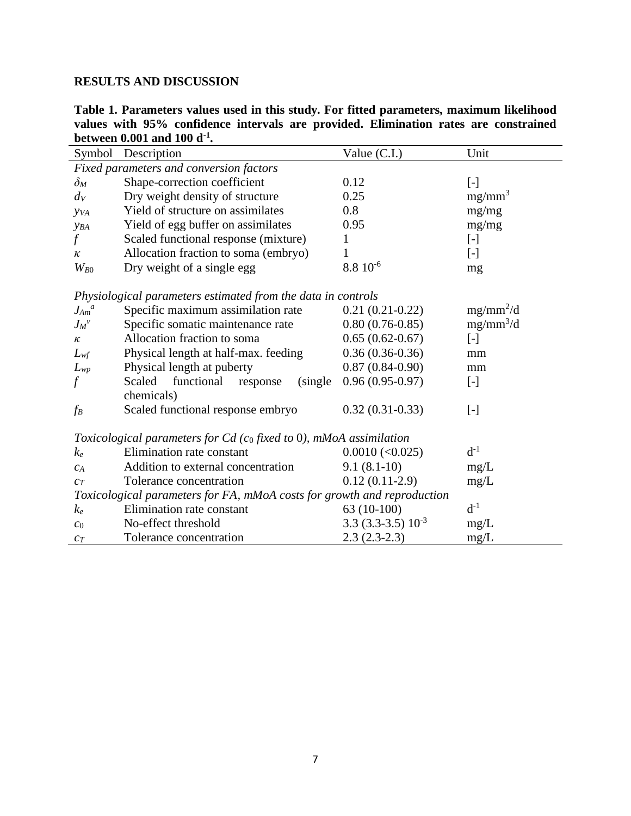# **RESULTS AND DISCUSSION**

**Table 1. Parameters values used in this study. For fitted parameters, maximum likelihood values with 95% confidence intervals are provided. Elimination rates are constrained between 0.001 and 100 d-1 .**

|                                                                         | Symbol Description                           | Value (C.I.)          | Unit                   |
|-------------------------------------------------------------------------|----------------------------------------------|-----------------------|------------------------|
| Fixed parameters and conversion factors                                 |                                              |                       |                        |
| $\delta_M$                                                              | Shape-correction coefficient                 | 0.12                  | $[ - ]$                |
| $d_V$                                                                   | Dry weight density of structure              | 0.25                  | $mg/mm^3$              |
| <b>y</b> <sub>V</sub> A                                                 | Yield of structure on assimilates            | 0.8                   | mg/mg                  |
| YBA                                                                     | Yield of egg buffer on assimilates           | 0.95                  | mg/mg                  |
| $\int$                                                                  | Scaled functional response (mixture)         | 1                     | $\left[ \cdot \right]$ |
| $\kappa$                                                                | Allocation fraction to soma (embryo)         | 1                     | $[\cdot]$              |
| $W_{B0}$                                                                | Dry weight of a single egg                   | $8.810^{-6}$          | mg                     |
| Physiological parameters estimated from the data in controls            |                                              |                       |                        |
| $J_{Am}^{\ a}$                                                          | Specific maximum assimilation rate           | $0.21(0.21-0.22)$     | $mg/mm^2/d$            |
| $J_M{}^v$                                                               | Specific somatic maintenance rate            | $0.80(0.76-0.85)$     | $mg/mm^3/d$            |
| $\kappa$                                                                | Allocation fraction to soma                  | $0.65(0.62-0.67)$     | $\left[ -\right]$      |
| $L_{wf}$                                                                | Physical length at half-max. feeding         | $0.36(0.36-0.36)$     | mm                     |
| $L_{wp}$                                                                | Physical length at puberty                   | $0.87(0.84-0.90)$     | mm                     |
| f                                                                       | Scaled<br>functional<br>(single)<br>response | $0.96(0.95-0.97)$     | $[\cdot]$              |
|                                                                         | chemicals)                                   |                       |                        |
| $f_B$                                                                   | Scaled functional response embryo            | $0.32(0.31-0.33)$     | $[\cdot]$              |
|                                                                         |                                              |                       |                        |
| Toxicological parameters for $Cd$ (co fixed to 0), mMoA assimilation    |                                              |                       |                        |
| $k_e$                                                                   | Elimination rate constant                    | $0.0010 \, (<0.025)$  | $d^{-1}$               |
| $C_A$                                                                   | Addition to external concentration           | $9.1(8.1-10)$         | mg/L                   |
| $c_T$                                                                   | Tolerance concentration                      | $0.12(0.11-2.9)$      | mg/L                   |
| Toxicological parameters for FA, mMoA costs for growth and reproduction |                                              |                       |                        |
| $k_e$                                                                   | Elimination rate constant                    | $63(10-100)$          | $d^{-1}$               |
| $c_0$                                                                   | No-effect threshold                          | $3.3(3.3-3.5)10^{-3}$ | mg/L                   |
| $c_T$                                                                   | Tolerance concentration                      | $2.3(2.3-2.3)$        | mg/L                   |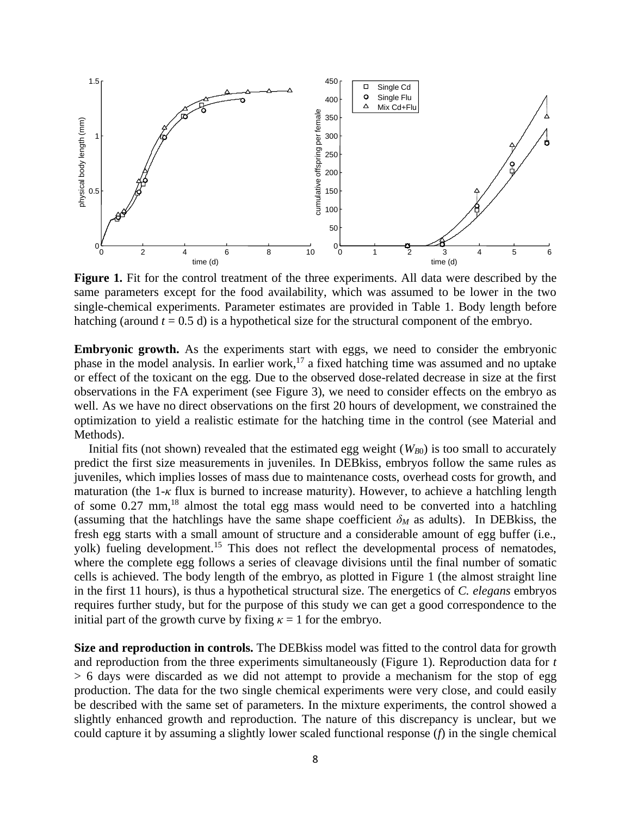

**Figure 1.** Fit for the control treatment of the three experiments. All data were described by the same parameters except for the food availability, which was assumed to be lower in the two single-chemical experiments. Parameter estimates are provided in Table 1. Body length before hatching (around  $t = 0.5$  d) is a hypothetical size for the structural component of the embryo.

**Embryonic growth.** As the experiments start with eggs, we need to consider the embryonic phase in the model analysis. In earlier work,<sup>[17](#page-13-10)</sup> a fixed hatching time was assumed and no uptake or effect of the toxicant on the egg. Due to the observed dose-related decrease in size at the first observations in the FA experiment (see Figure 3), we need to consider effects on the embryo as well. As we have no direct observations on the first 20 hours of development, we constrained the optimization to yield a realistic estimate for the hatching time in the control (see Material and Methods).

Initial fits (not shown) revealed that the estimated egg weight  $(W_{B0})$  is too small to accurately predict the first size measurements in juveniles. In DEBkiss, embryos follow the same rules as juveniles, which implies losses of mass due to maintenance costs, overhead costs for growth, and maturation (the 1-*κ* flux is burned to increase maturity). However, to achieve a hatchling length of some 0.27 mm, [18](#page-13-11) almost the total egg mass would need to be converted into a hatchling (assuming that the hatchlings have the same shape coefficient  $\delta_M$  as adults). In DEB kiss, the fresh egg starts with a small amount of structure and a considerable amount of egg buffer (i.e., yolk) fueling development.<sup>[15](#page-13-8)</sup> This does not reflect the developmental process of nematodes, where the complete egg follows a series of cleavage divisions until the final number of somatic cells is achieved. The body length of the embryo, as plotted in Figure 1 (the almost straight line in the first 11 hours), is thus a hypothetical structural size. The energetics of *C. elegans* embryos requires further study, but for the purpose of this study we can get a good correspondence to the initial part of the growth curve by fixing  $\kappa = 1$  for the embryo.

**Size and reproduction in controls.** The DEBkiss model was fitted to the control data for growth and reproduction from the three experiments simultaneously (Figure 1). Reproduction data for *t* > 6 days were discarded as we did not attempt to provide a mechanism for the stop of egg production. The data for the two single chemical experiments were very close, and could easily be described with the same set of parameters. In the mixture experiments, the control showed a slightly enhanced growth and reproduction. The nature of this discrepancy is unclear, but we could capture it by assuming a slightly lower scaled functional response (*f*) in the single chemical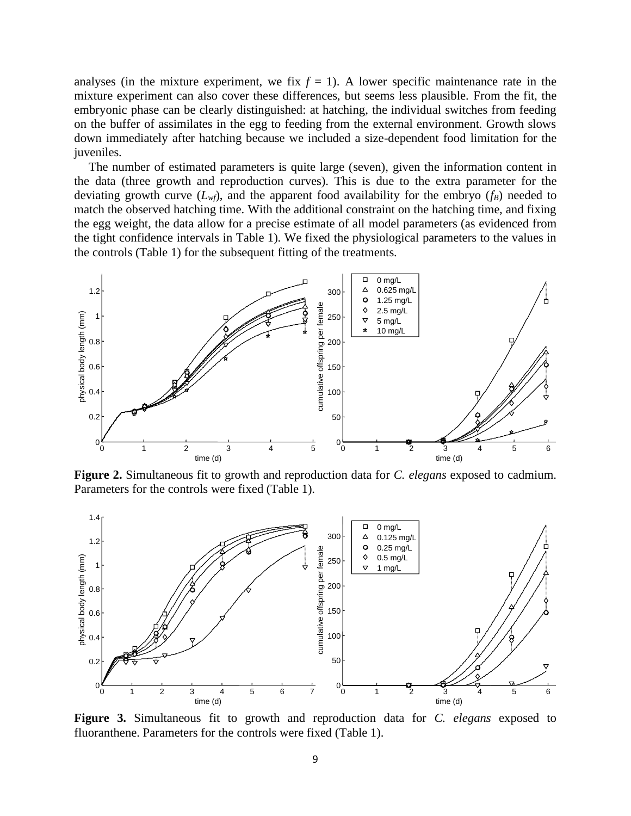analyses (in the mixture experiment, we fix  $f = 1$ ). A lower specific maintenance rate in the mixture experiment can also cover these differences, but seems less plausible. From the fit, the embryonic phase can be clearly distinguished: at hatching, the individual switches from feeding on the buffer of assimilates in the egg to feeding from the external environment. Growth slows down immediately after hatching because we included a size-dependent food limitation for the juveniles.

The number of estimated parameters is quite large (seven), given the information content in the data (three growth and reproduction curves). This is due to the extra parameter for the deviating growth curve  $(L_w f)$ , and the apparent food availability for the embryo  $(f_B)$  needed to match the observed hatching time. With the additional constraint on the hatching time, and fixing the egg weight, the data allow for a precise estimate of all model parameters (as evidenced from the tight confidence intervals in Table 1). We fixed the physiological parameters to the values in the controls (Table 1) for the subsequent fitting of the treatments.



**Figure 2.** Simultaneous fit to growth and reproduction data for *C. elegans* exposed to cadmium. Parameters for the controls were fixed (Table 1).



**Figure 3.** Simultaneous fit to growth and reproduction data for *C. elegans* exposed to fluoranthene. Parameters for the controls were fixed (Table 1).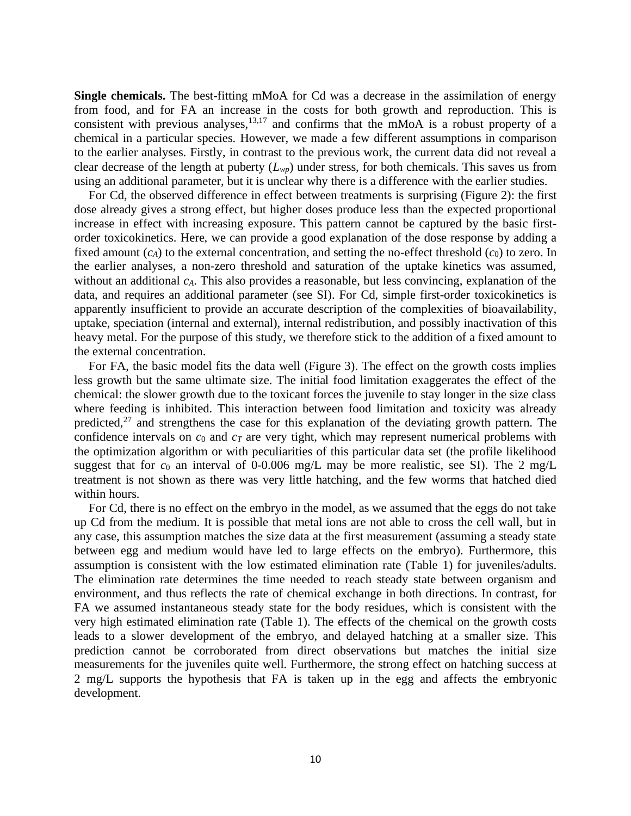**Single chemicals.** The best-fitting mMoA for Cd was a decrease in the assimilation of energy from food, and for FA an increase in the costs for both growth and reproduction. This is consistent with previous analyses,  $13,17$  $13,17$  and confirms that the mMoA is a robust property of a chemical in a particular species. However, we made a few different assumptions in comparison to the earlier analyses. Firstly, in contrast to the previous work, the current data did not reveal a clear decrease of the length at puberty (*Lwp*) under stress, for both chemicals. This saves us from using an additional parameter, but it is unclear why there is a difference with the earlier studies.

For Cd, the observed difference in effect between treatments is surprising (Figure 2): the first dose already gives a strong effect, but higher doses produce less than the expected proportional increase in effect with increasing exposure. This pattern cannot be captured by the basic firstorder toxicokinetics. Here, we can provide a good explanation of the dose response by adding a fixed amount  $(c_A)$  to the external concentration, and setting the no-effect threshold  $(c_0)$  to zero. In the earlier analyses, a non-zero threshold and saturation of the uptake kinetics was assumed, without an additional *cA*. This also provides a reasonable, but less convincing, explanation of the data, and requires an additional parameter (see SI). For Cd, simple first-order toxicokinetics is apparently insufficient to provide an accurate description of the complexities of bioavailability, uptake, speciation (internal and external), internal redistribution, and possibly inactivation of this heavy metal. For the purpose of this study, we therefore stick to the addition of a fixed amount to the external concentration.

For FA, the basic model fits the data well (Figure 3). The effect on the growth costs implies less growth but the same ultimate size. The initial food limitation exaggerates the effect of the chemical: the slower growth due to the toxicant forces the juvenile to stay longer in the size class where feeding is inhibited. This interaction between food limitation and toxicity was already predicted, $27$  and strengthens the case for this explanation of the deviating growth pattern. The confidence intervals on  $c_0$  and  $c_T$  are very tight, which may represent numerical problems with the optimization algorithm or with peculiarities of this particular data set (the profile likelihood suggest that for  $c_0$  an interval of 0-0.006 mg/L may be more realistic, see SI). The 2 mg/L treatment is not shown as there was very little hatching, and the few worms that hatched died within hours.

For Cd, there is no effect on the embryo in the model, as we assumed that the eggs do not take up Cd from the medium. It is possible that metal ions are not able to cross the cell wall, but in any case, this assumption matches the size data at the first measurement (assuming a steady state between egg and medium would have led to large effects on the embryo). Furthermore, this assumption is consistent with the low estimated elimination rate (Table 1) for juveniles/adults. The elimination rate determines the time needed to reach steady state between organism and environment, and thus reflects the rate of chemical exchange in both directions. In contrast, for FA we assumed instantaneous steady state for the body residues, which is consistent with the very high estimated elimination rate (Table 1). The effects of the chemical on the growth costs leads to a slower development of the embryo, and delayed hatching at a smaller size. This prediction cannot be corroborated from direct observations but matches the initial size measurements for the juveniles quite well. Furthermore, the strong effect on hatching success at 2 mg/L supports the hypothesis that FA is taken up in the egg and affects the embryonic development.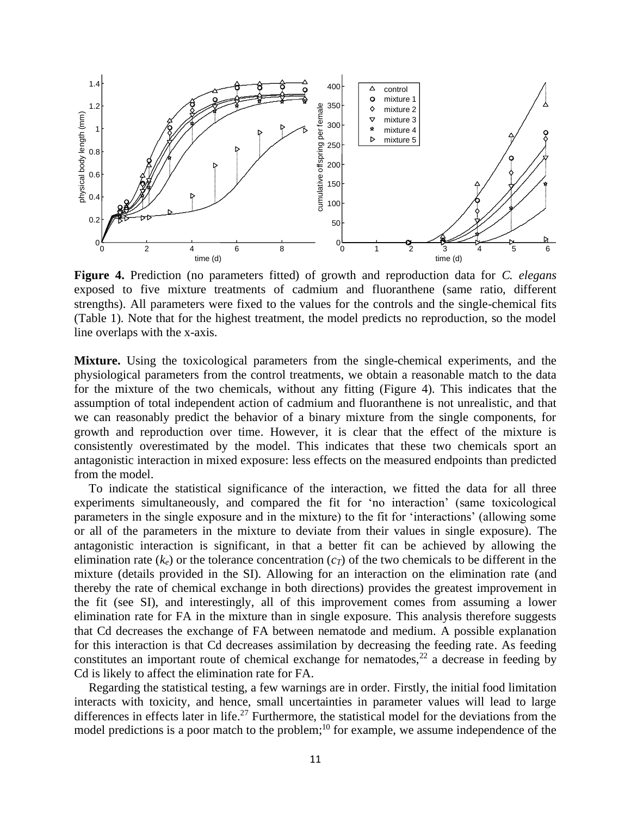

**Figure 4.** Prediction (no parameters fitted) of growth and reproduction data for *C. elegans* exposed to five mixture treatments of cadmium and fluoranthene (same ratio, different strengths). All parameters were fixed to the values for the controls and the single-chemical fits (Table 1). Note that for the highest treatment, the model predicts no reproduction, so the model line overlaps with the x-axis.

**Mixture.** Using the toxicological parameters from the single-chemical experiments, and the physiological parameters from the control treatments, we obtain a reasonable match to the data for the mixture of the two chemicals, without any fitting (Figure 4). This indicates that the assumption of total independent action of cadmium and fluoranthene is not unrealistic, and that we can reasonably predict the behavior of a binary mixture from the single components, for growth and reproduction over time. However, it is clear that the effect of the mixture is consistently overestimated by the model. This indicates that these two chemicals sport an antagonistic interaction in mixed exposure: less effects on the measured endpoints than predicted from the model.

To indicate the statistical significance of the interaction, we fitted the data for all three experiments simultaneously, and compared the fit for 'no interaction' (same toxicological parameters in the single exposure and in the mixture) to the fit for 'interactions' (allowing some or all of the parameters in the mixture to deviate from their values in single exposure). The antagonistic interaction is significant, in that a better fit can be achieved by allowing the elimination rate  $(k_e)$  or the tolerance concentration  $(c<sub>T</sub>)$  of the two chemicals to be different in the mixture (details provided in the SI). Allowing for an interaction on the elimination rate (and thereby the rate of chemical exchange in both directions) provides the greatest improvement in the fit (see SI), and interestingly, all of this improvement comes from assuming a lower elimination rate for FA in the mixture than in single exposure. This analysis therefore suggests that Cd decreases the exchange of FA between nematode and medium. A possible explanation for this interaction is that Cd decreases assimilation by decreasing the feeding rate. As feeding constitutes an important route of chemical exchange for nematodes,  $22$  a decrease in feeding by Cd is likely to affect the elimination rate for FA.

Regarding the statistical testing, a few warnings are in order. Firstly, the initial food limitation interacts with toxicity, and hence, small uncertainties in parameter values will lead to large differences in effects later in life.<sup>[27](#page-14-1)</sup> Furthermore, the statistical model for the deviations from the model predictions is a poor match to the problem;<sup>[10](#page-13-3)</sup> for example, we assume independence of the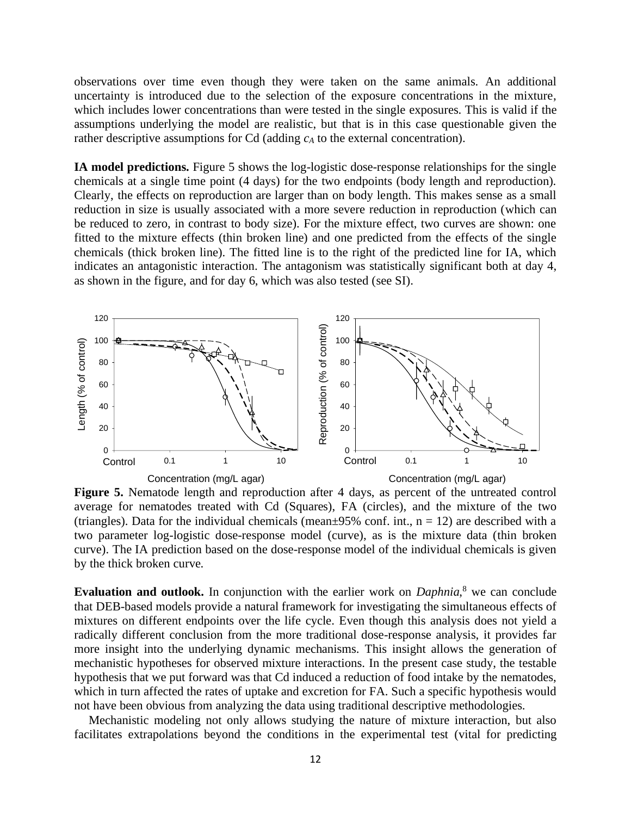observations over time even though they were taken on the same animals. An additional uncertainty is introduced due to the selection of the exposure concentrations in the mixture, which includes lower concentrations than were tested in the single exposures. This is valid if the assumptions underlying the model are realistic, but that is in this case questionable given the rather descriptive assumptions for Cd (adding *c<sup>A</sup>* to the external concentration).

**IA model predictions.** Figure 5 shows the log-logistic dose-response relationships for the single chemicals at a single time point (4 days) for the two endpoints (body length and reproduction). Clearly, the effects on reproduction are larger than on body length. This makes sense as a small reduction in size is usually associated with a more severe reduction in reproduction (which can be reduced to zero, in contrast to body size). For the mixture effect, two curves are shown: one fitted to the mixture effects (thin broken line) and one predicted from the effects of the single chemicals (thick broken line). The fitted line is to the right of the predicted line for IA, which indicates an antagonistic interaction. The antagonism was statistically significant both at day 4, as shown in the figure, and for day 6, which was also tested (see SI).



Figure 5. Nematode length and reproduction after 4 days, as percent of the untreated control average for nematodes treated with Cd (Squares), FA (circles), and the mixture of the two (triangles). Data for the individual chemicals (mean $\pm$ 95% conf. int., n = 12) are described with a two parameter log-logistic dose-response model (curve), as is the mixture data (thin broken curve). The IA prediction based on the dose-response model of the individual chemicals is given by the thick broken curve.

**Evaluation and outlook.** In conjunction with the earlier work on *Daphnia*[,](#page-13-1)<sup>8</sup> we can conclude that DEB-based models provide a natural framework for investigating the simultaneous effects of mixtures on different endpoints over the life cycle. Even though this analysis does not yield a radically different conclusion from the more traditional dose-response analysis, it provides far more insight into the underlying dynamic mechanisms. This insight allows the generation of mechanistic hypotheses for observed mixture interactions. In the present case study, the testable hypothesis that we put forward was that Cd induced a reduction of food intake by the nematodes, which in turn affected the rates of uptake and excretion for FA. Such a specific hypothesis would not have been obvious from analyzing the data using traditional descriptive methodologies.

Mechanistic modeling not only allows studying the nature of mixture interaction, but also facilitates extrapolations beyond the conditions in the experimental test (vital for predicting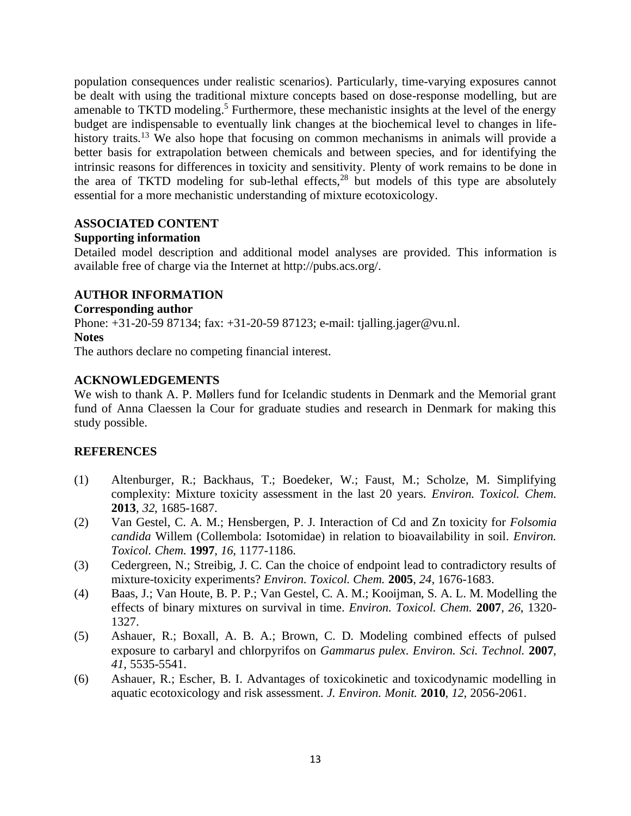population consequences under realistic scenarios). Particularly, time-varying exposures cannot be dealt with using the traditional mixture concepts based on dose-response modelling, but are amenable to TKTD modeling[.](#page-12-4)<sup>5</sup> Furthermore, these mechanistic insights at the level of the energy budget are indispensable to eventually link changes at the biochemical level to changes in life-history traits.<sup>[13](#page-13-6)</sup> We also hope that focusing on common mechanisms in animals will provide a better basis for extrapolation between chemicals and between species, and for identifying the intrinsic reasons for differences in toxicity and sensitivity. Plenty of work remains to be done in the area of TKTD modeling for sub-lethal effects, [28](#page-14-2) but models of this type are absolutely essential for a more mechanistic understanding of mixture ecotoxicology.

# **ASSOCIATED CONTENT**

# **Supporting information**

Detailed model description and additional model analyses are provided. This information is available free of charge via the Internet at http://pubs.acs.org/.

# **AUTHOR INFORMATION**

#### **Corresponding author**

Phone: +31-20-59 87134; fax: +31-20-59 87123; e-mail: tjalling.jager@vu.nl.

#### **Notes**

The authors declare no competing financial interest.

# **ACKNOWLEDGEMENTS**

We wish to thank A. P. Møllers fund for Icelandic students in Denmark and the Memorial grant fund of Anna Claessen la Cour for graduate studies and research in Denmark for making this study possible.

# **REFERENCES**

- <span id="page-12-0"></span>(1) Altenburger, R.; Backhaus, T.; Boedeker, W.; Faust, M.; Scholze, M. Simplifying complexity: Mixture toxicity assessment in the last 20 years. *Environ. Toxicol. Chem.* **2013**, *32*, 1685-1687.
- <span id="page-12-1"></span>(2) Van Gestel, C. A. M.; Hensbergen, P. J. Interaction of Cd and Zn toxicity for *Folsomia candida* Willem (Collembola: Isotomidae) in relation to bioavailability in soil. *Environ. Toxicol. Chem.* **1997**, *16*, 1177-1186.
- <span id="page-12-2"></span>(3) Cedergreen, N.; Streibig, J. C. Can the choice of endpoint lead to contradictory results of mixture-toxicity experiments? *Environ. Toxicol. Chem.* **2005**, *24*, 1676-1683.
- <span id="page-12-3"></span>(4) Baas, J.; Van Houte, B. P. P.; Van Gestel, C. A. M.; Kooijman, S. A. L. M. Modelling the effects of binary mixtures on survival in time. *Environ. Toxicol. Chem.* **2007**, *26*, 1320- 1327.
- <span id="page-12-4"></span>(5) Ashauer, R.; Boxall, A. B. A.; Brown, C. D. Modeling combined effects of pulsed exposure to carbaryl and chlorpyrifos on *Gammarus pulex*. *Environ. Sci. Technol.* **2007**, *41*, 5535-5541.
- <span id="page-12-5"></span>(6) Ashauer, R.; Escher, B. I. Advantages of toxicokinetic and toxicodynamic modelling in aquatic ecotoxicology and risk assessment. *J. Environ. Monit.* **2010**, *12*, 2056-2061.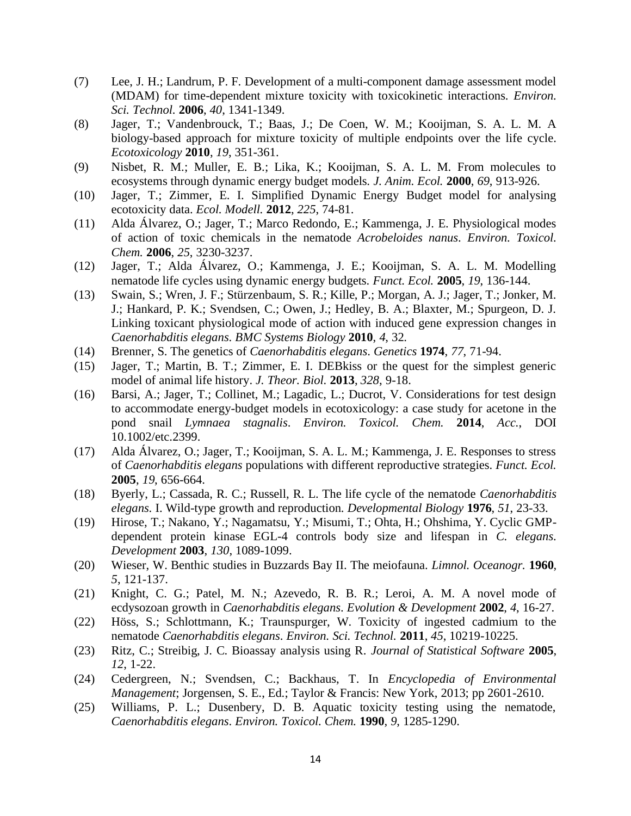- <span id="page-13-0"></span>(7) Lee, J. H.; Landrum, P. F. Development of a multi-component damage assessment model (MDAM) for time-dependent mixture toxicity with toxicokinetic interactions. *Environ. Sci. Technol.* **2006**, *40*, 1341-1349.
- <span id="page-13-1"></span>(8) Jager, T.; Vandenbrouck, T.; Baas, J.; De Coen, W. M.; Kooijman, S. A. L. M. A biology-based approach for mixture toxicity of multiple endpoints over the life cycle. *Ecotoxicology* **2010**, *19*, 351-361.
- <span id="page-13-2"></span>(9) Nisbet, R. M.; Muller, E. B.; Lika, K.; Kooijman, S. A. L. M. From molecules to ecosystems through dynamic energy budget models. *J. Anim. Ecol.* **2000**, *69*, 913-926.
- <span id="page-13-3"></span>(10) Jager, T.; Zimmer, E. I. Simplified Dynamic Energy Budget model for analysing ecotoxicity data. *Ecol. Modell.* **2012**, *225*, 74-81.
- <span id="page-13-4"></span>(11) Alda Álvarez, O.; Jager, T.; Marco Redondo, E.; Kammenga, J. E. Physiological modes of action of toxic chemicals in the nematode *Acrobeloides nanus*. *Environ. Toxicol. Chem.* **2006**, *25*, 3230-3237.
- <span id="page-13-5"></span>(12) Jager, T.; Alda Álvarez, O.; Kammenga, J. E.; Kooijman, S. A. L. M. Modelling nematode life cycles using dynamic energy budgets. *Funct. Ecol.* **2005**, *19*, 136-144.
- <span id="page-13-6"></span>(13) Swain, S.; Wren, J. F.; Stürzenbaum, S. R.; Kille, P.; Morgan, A. J.; Jager, T.; Jonker, M. J.; Hankard, P. K.; Svendsen, C.; Owen, J.; Hedley, B. A.; Blaxter, M.; Spurgeon, D. J. Linking toxicant physiological mode of action with induced gene expression changes in *Caenorhabditis elegans*. *BMC Systems Biology* **2010**, *4*, 32.
- <span id="page-13-7"></span>(14) Brenner, S. The genetics of *Caenorhabditis elegans*. *Genetics* **1974**, *77*, 71-94.
- <span id="page-13-8"></span>(15) Jager, T.; Martin, B. T.; Zimmer, E. I. DEBkiss or the quest for the simplest generic model of animal life history. *J. Theor. Biol.* **2013**, *328*, 9-18.
- <span id="page-13-9"></span>(16) Barsi, A.; Jager, T.; Collinet, M.; Lagadic, L.; Ducrot, V. Considerations for test design to accommodate energy-budget models in ecotoxicology: a case study for acetone in the pond snail *Lymnaea stagnalis*. *Environ. Toxicol. Chem.* **2014**, *Acc.*, DOI 10.1002/etc.2399.
- <span id="page-13-10"></span>(17) Alda Álvarez, O.; Jager, T.; Kooijman, S. A. L. M.; Kammenga, J. E. Responses to stress of *Caenorhabditis elegans* populations with different reproductive strategies. *Funct. Ecol.* **2005**, *19*, 656-664.
- <span id="page-13-11"></span>(18) Byerly, L.; Cassada, R. C.; Russell, R. L. The life cycle of the nematode *Caenorhabditis elegans*. I. Wild-type growth and reproduction. *Developmental Biology* **1976**, *51*, 23-33.
- <span id="page-13-12"></span>(19) Hirose, T.; Nakano, Y.; Nagamatsu, Y.; Misumi, T.; Ohta, H.; Ohshima, Y. Cyclic GMPdependent protein kinase EGL-4 controls body size and lifespan in *C. elegans*. *Development* **2003**, *130*, 1089-1099.
- <span id="page-13-13"></span>(20) Wieser, W. Benthic studies in Buzzards Bay II. The meiofauna. *Limnol. Oceanogr.* **1960**, *5*, 121-137.
- <span id="page-13-14"></span>(21) Knight, C. G.; Patel, M. N.; Azevedo, R. B. R.; Leroi, A. M. A novel mode of ecdysozoan growth in *Caenorhabditis elegans*. *Evolution & Development* **2002**, *4*, 16-27.
- <span id="page-13-15"></span>(22) Höss, S.; Schlottmann, K.; Traunspurger, W. Toxicity of ingested cadmium to the nematode *Caenorhabditis elegans*. *Environ. Sci. Technol.* **2011**, *45*, 10219-10225.
- <span id="page-13-16"></span>(23) Ritz, C.; Streibig, J. C. Bioassay analysis using R. *Journal of Statistical Software* **2005**, *12*, 1-22.
- <span id="page-13-17"></span>(24) Cedergreen, N.; Svendsen, C.; Backhaus, T. In *Encyclopedia of Environmental Management*; Jorgensen, S. E., Ed.; Taylor & Francis: New York, 2013; pp 2601-2610.
- <span id="page-13-18"></span>(25) Williams, P. L.; Dusenbery, D. B. Aquatic toxicity testing using the nematode, *Caenorhabditis elegans*. *Environ. Toxicol. Chem.* **1990**, *9*, 1285-1290.